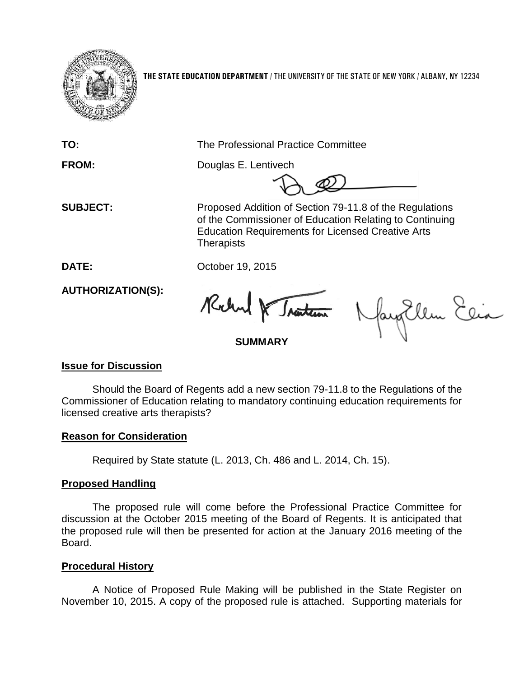

**THE STATE EDUCATION DEPARTMENT** / THE UNIVERSITY OF THE STATE OF NEW YORK / ALBANY, NY 12234

**TO:** The Professional Practice Committee

**FROM:** Douglas E. Lentivech

 **SUBJECT:** Proposed Addition of Section 79-11.8 of the Regulations of the Commissioner of Education Relating to Continuing Education Requirements for Licensed Creative Arts **Therapists** 

**DATE:** October 19, 2015

**AUTHORIZATION(S):**

Rochard & Traiten

fayEllen Elia

# **SUMMARY**

# **Issue for Discussion**

Should the Board of Regents add a new section 79-11.8 to the Regulations of the Commissioner of Education relating to mandatory continuing education requirements for licensed creative arts therapists?

# **Reason for Consideration**

Required by State statute (L. 2013, Ch. 486 and L. 2014, Ch. 15).

# **Proposed Handling**

The proposed rule will come before the Professional Practice Committee for discussion at the October 2015 meeting of the Board of Regents. It is anticipated that the proposed rule will then be presented for action at the January 2016 meeting of the Board.

#### **Procedural History**

A Notice of Proposed Rule Making will be published in the State Register on November 10, 2015. A copy of the proposed rule is attached. Supporting materials for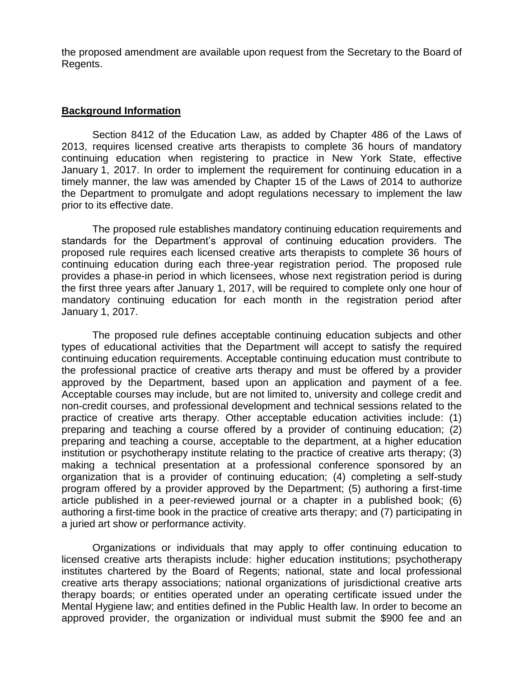the proposed amendment are available upon request from the Secretary to the Board of Regents.

#### **Background Information**

Section 8412 of the Education Law, as added by Chapter 486 of the Laws of 2013, requires licensed creative arts therapists to complete 36 hours of mandatory continuing education when registering to practice in New York State, effective January 1, 2017. In order to implement the requirement for continuing education in a timely manner, the law was amended by Chapter 15 of the Laws of 2014 to authorize the Department to promulgate and adopt regulations necessary to implement the law prior to its effective date.

The proposed rule establishes mandatory continuing education requirements and standards for the Department's approval of continuing education providers. The proposed rule requires each licensed creative arts therapists to complete 36 hours of continuing education during each three-year registration period. The proposed rule provides a phase-in period in which licensees, whose next registration period is during the first three years after January 1, 2017, will be required to complete only one hour of mandatory continuing education for each month in the registration period after January 1, 2017.

The proposed rule defines acceptable continuing education subjects and other types of educational activities that the Department will accept to satisfy the required continuing education requirements. Acceptable continuing education must contribute to the professional practice of creative arts therapy and must be offered by a provider approved by the Department, based upon an application and payment of a fee. Acceptable courses may include, but are not limited to, university and college credit and non-credit courses, and professional development and technical sessions related to the practice of creative arts therapy. Other acceptable education activities include: (1) preparing and teaching a course offered by a provider of continuing education; (2) preparing and teaching a course, acceptable to the department, at a higher education institution or psychotherapy institute relating to the practice of creative arts therapy; (3) making a technical presentation at a professional conference sponsored by an organization that is a provider of continuing education; (4) completing a self-study program offered by a provider approved by the Department; (5) authoring a first-time article published in a peer-reviewed journal or a chapter in a published book; (6) authoring a first-time book in the practice of creative arts therapy; and (7) participating in a juried art show or performance activity.

Organizations or individuals that may apply to offer continuing education to licensed creative arts therapists include: higher education institutions; psychotherapy institutes chartered by the Board of Regents; national, state and local professional creative arts therapy associations; national organizations of jurisdictional creative arts therapy boards; or entities operated under an operating certificate issued under the Mental Hygiene law; and entities defined in the Public Health law. In order to become an approved provider, the organization or individual must submit the \$900 fee and an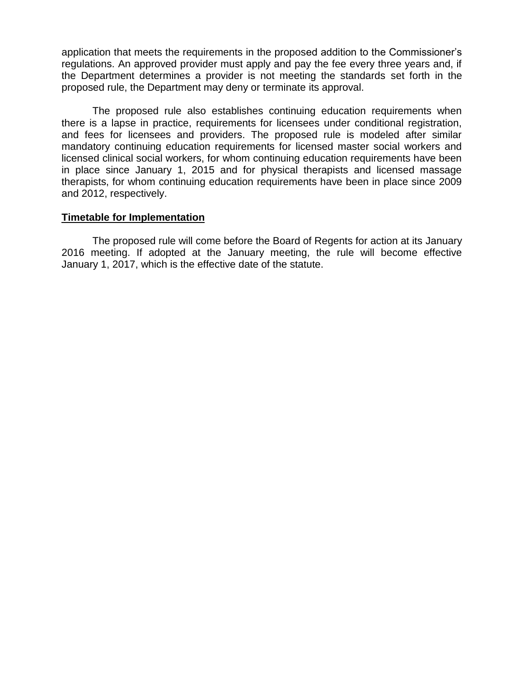application that meets the requirements in the proposed addition to the Commissioner's regulations. An approved provider must apply and pay the fee every three years and, if the Department determines a provider is not meeting the standards set forth in the proposed rule, the Department may deny or terminate its approval.

The proposed rule also establishes continuing education requirements when there is a lapse in practice, requirements for licensees under conditional registration, and fees for licensees and providers. The proposed rule is modeled after similar mandatory continuing education requirements for licensed master social workers and licensed clinical social workers, for whom continuing education requirements have been in place since January 1, 2015 and for physical therapists and licensed massage therapists, for whom continuing education requirements have been in place since 2009 and 2012, respectively.

#### **Timetable for Implementation**

The proposed rule will come before the Board of Regents for action at its January 2016 meeting. If adopted at the January meeting, the rule will become effective January 1, 2017, which is the effective date of the statute.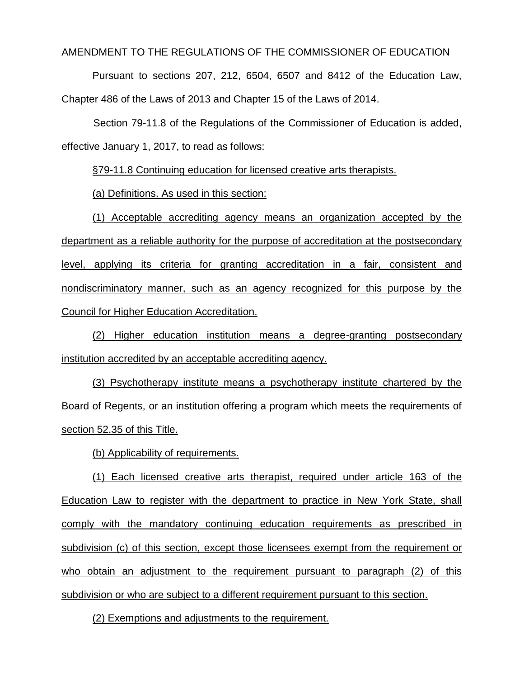AMENDMENT TO THE REGULATIONS OF THE COMMISSIONER OF EDUCATION

Pursuant to sections 207, 212, 6504, 6507 and 8412 of the Education Law, Chapter 486 of the Laws of 2013 and Chapter 15 of the Laws of 2014.

Section 79-11.8 of the Regulations of the Commissioner of Education is added, effective January 1, 2017, to read as follows:

§79-11.8 Continuing education for licensed creative arts therapists.

(a) Definitions. As used in this section:

(1) Acceptable accrediting agency means an organization accepted by the department as a reliable authority for the purpose of accreditation at the postsecondary level, applying its criteria for granting accreditation in a fair, consistent and nondiscriminatory manner, such as an agency recognized for this purpose by the Council for Higher Education Accreditation.

(2) Higher education institution means a degree-granting postsecondary institution accredited by an acceptable accrediting agency.

(3) Psychotherapy institute means a psychotherapy institute chartered by the Board of Regents, or an institution offering a program which meets the requirements of section 52.35 of this Title.

(b) Applicability of requirements.

(1) Each licensed creative arts therapist, required under article 163 of the Education Law to register with the department to practice in New York State, shall comply with the mandatory continuing education requirements as prescribed in subdivision (c) of this section, except those licensees exempt from the requirement or who obtain an adjustment to the requirement pursuant to paragraph (2) of this subdivision or who are subject to a different requirement pursuant to this section.

(2) Exemptions and adjustments to the requirement.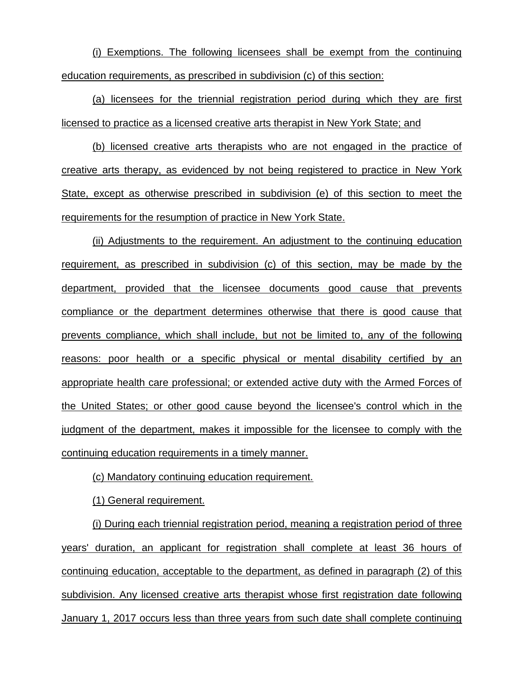(i) Exemptions. The following licensees shall be exempt from the continuing education requirements, as prescribed in subdivision (c) of this section:

(a) licensees for the triennial registration period during which they are first licensed to practice as a licensed creative arts therapist in New York State; and

(b) licensed creative arts therapists who are not engaged in the practice of creative arts therapy, as evidenced by not being registered to practice in New York State, except as otherwise prescribed in subdivision (e) of this section to meet the requirements for the resumption of practice in New York State.

(ii) Adjustments to the requirement. An adjustment to the continuing education requirement, as prescribed in subdivision (c) of this section, may be made by the department, provided that the licensee documents good cause that prevents compliance or the department determines otherwise that there is good cause that prevents compliance, which shall include, but not be limited to, any of the following reasons: poor health or a specific physical or mental disability certified by an appropriate health care professional; or extended active duty with the Armed Forces of the United States; or other good cause beyond the licensee's control which in the judgment of the department, makes it impossible for the licensee to comply with the continuing education requirements in a timely manner.

(c) Mandatory continuing education requirement.

(1) General requirement.

(i) During each triennial registration period, meaning a registration period of three years' duration, an applicant for registration shall complete at least 36 hours of continuing education, acceptable to the department, as defined in paragraph (2) of this subdivision. Any licensed creative arts therapist whose first registration date following January 1, 2017 occurs less than three years from such date shall complete continuing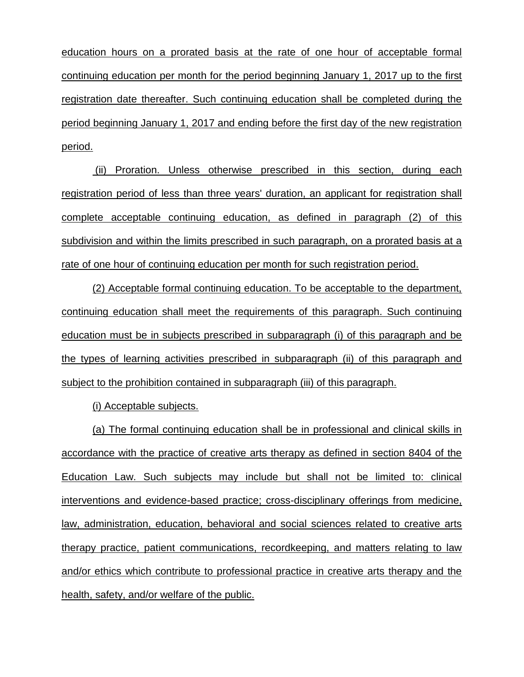education hours on a prorated basis at the rate of one hour of acceptable formal continuing education per month for the period beginning January 1, 2017 up to the first registration date thereafter. Such continuing education shall be completed during the period beginning January 1, 2017 and ending before the first day of the new registration period.

(ii) Proration. Unless otherwise prescribed in this section, during each registration period of less than three years' duration, an applicant for registration shall complete acceptable continuing education, as defined in paragraph (2) of this subdivision and within the limits prescribed in such paragraph, on a prorated basis at a rate of one hour of continuing education per month for such registration period.

(2) Acceptable formal continuing education. To be acceptable to the department, continuing education shall meet the requirements of this paragraph. Such continuing education must be in subjects prescribed in subparagraph (i) of this paragraph and be the types of learning activities prescribed in subparagraph (ii) of this paragraph and subject to the prohibition contained in subparagraph (iii) of this paragraph.

(i) Acceptable subjects.

(a) The formal continuing education shall be in professional and clinical skills in accordance with the practice of creative arts therapy as defined in section 8404 of the Education Law. Such subjects may include but shall not be limited to: clinical interventions and evidence-based practice; cross-disciplinary offerings from medicine, law, administration, education, behavioral and social sciences related to creative arts therapy practice, patient communications, recordkeeping, and matters relating to law and/or ethics which contribute to professional practice in creative arts therapy and the health, safety, and/or welfare of the public.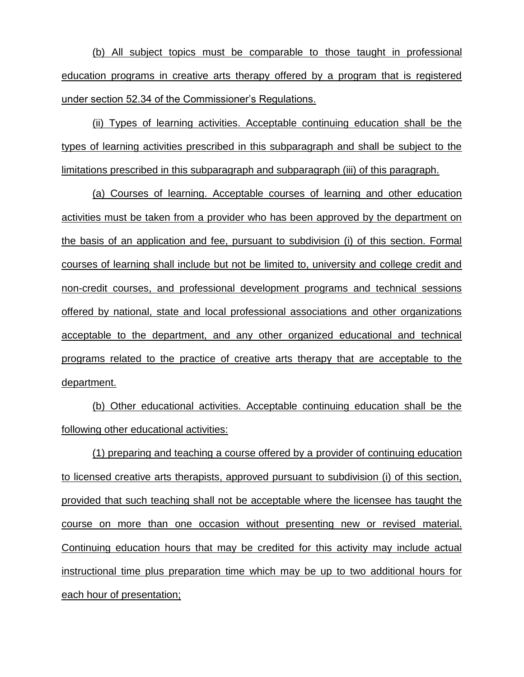(b) All subject topics must be comparable to those taught in professional education programs in creative arts therapy offered by a program that is registered under section 52.34 of the Commissioner's Regulations.

(ii) Types of learning activities. Acceptable continuing education shall be the types of learning activities prescribed in this subparagraph and shall be subject to the limitations prescribed in this subparagraph and subparagraph (iii) of this paragraph.

(a) Courses of learning. Acceptable courses of learning and other education activities must be taken from a provider who has been approved by the department on the basis of an application and fee, pursuant to subdivision (i) of this section. Formal courses of learning shall include but not be limited to, university and college credit and non-credit courses, and professional development programs and technical sessions offered by national, state and local professional associations and other organizations acceptable to the department, and any other organized educational and technical programs related to the practice of creative arts therapy that are acceptable to the department.

(b) Other educational activities. Acceptable continuing education shall be the following other educational activities:

(1) preparing and teaching a course offered by a provider of continuing education to licensed creative arts therapists, approved pursuant to subdivision (i) of this section, provided that such teaching shall not be acceptable where the licensee has taught the course on more than one occasion without presenting new or revised material. Continuing education hours that may be credited for this activity may include actual instructional time plus preparation time which may be up to two additional hours for each hour of presentation;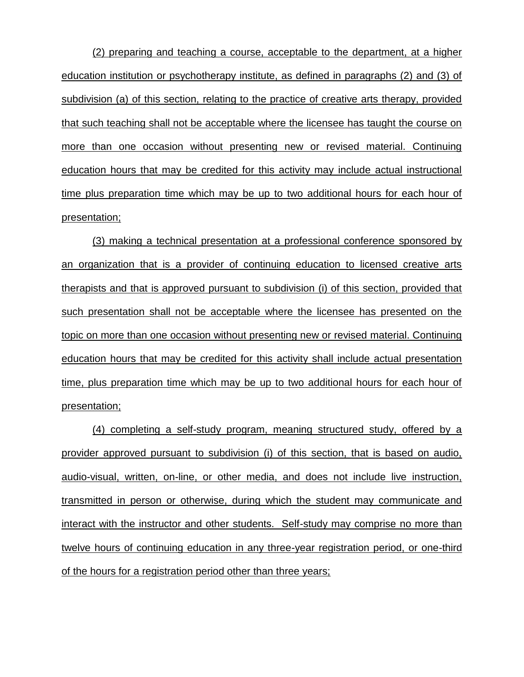(2) preparing and teaching a course, acceptable to the department, at a higher education institution or psychotherapy institute, as defined in paragraphs (2) and (3) of subdivision (a) of this section, relating to the practice of creative arts therapy, provided that such teaching shall not be acceptable where the licensee has taught the course on more than one occasion without presenting new or revised material. Continuing education hours that may be credited for this activity may include actual instructional time plus preparation time which may be up to two additional hours for each hour of presentation;

(3) making a technical presentation at a professional conference sponsored by an organization that is a provider of continuing education to licensed creative arts therapists and that is approved pursuant to subdivision (i) of this section, provided that such presentation shall not be acceptable where the licensee has presented on the topic on more than one occasion without presenting new or revised material. Continuing education hours that may be credited for this activity shall include actual presentation time, plus preparation time which may be up to two additional hours for each hour of presentation;

(4) completing a self-study program, meaning structured study, offered by a provider approved pursuant to subdivision (i) of this section, that is based on audio, audio-visual, written, on-line, or other media, and does not include live instruction, transmitted in person or otherwise, during which the student may communicate and interact with the instructor and other students. Self-study may comprise no more than twelve hours of continuing education in any three-year registration period, or one-third of the hours for a registration period other than three years;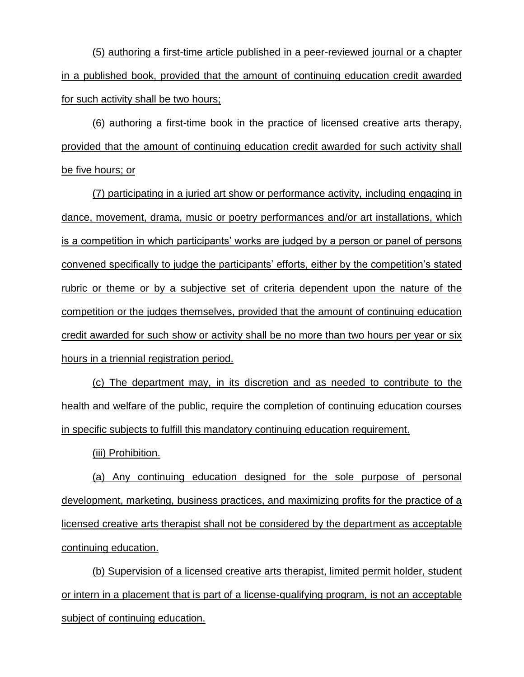(5) authoring a first-time article published in a peer-reviewed journal or a chapter in a published book, provided that the amount of continuing education credit awarded for such activity shall be two hours;

(6) authoring a first-time book in the practice of licensed creative arts therapy, provided that the amount of continuing education credit awarded for such activity shall be five hours; or

(7) participating in a juried art show or performance activity, including engaging in dance, movement, drama, music or poetry performances and/or art installations, which is a competition in which participants' works are judged by a person or panel of persons convened specifically to judge the participants' efforts, either by the competition's stated rubric or theme or by a subjective set of criteria dependent upon the nature of the competition or the judges themselves, provided that the amount of continuing education credit awarded for such show or activity shall be no more than two hours per year or six hours in a triennial registration period.

(c) The department may, in its discretion and as needed to contribute to the health and welfare of the public, require the completion of continuing education courses in specific subjects to fulfill this mandatory continuing education requirement.

(iii) Prohibition.

(a) Any continuing education designed for the sole purpose of personal development, marketing, business practices, and maximizing profits for the practice of a licensed creative arts therapist shall not be considered by the department as acceptable continuing education.

(b) Supervision of a licensed creative arts therapist, limited permit holder, student or intern in a placement that is part of a license-qualifying program, is not an acceptable subject of continuing education.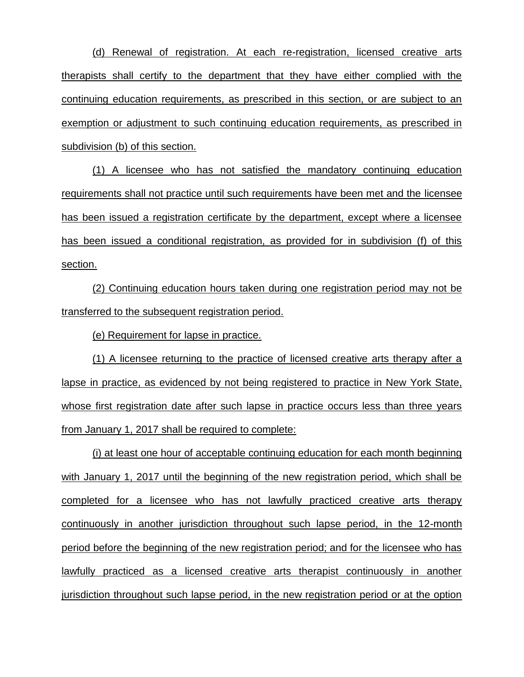(d) Renewal of registration. At each re-registration, licensed creative arts therapists shall certify to the department that they have either complied with the continuing education requirements, as prescribed in this section, or are subject to an exemption or adjustment to such continuing education requirements, as prescribed in subdivision (b) of this section.

(1) A licensee who has not satisfied the mandatory continuing education requirements shall not practice until such requirements have been met and the licensee has been issued a registration certificate by the department, except where a licensee has been issued a conditional registration, as provided for in subdivision (f) of this section.

(2) Continuing education hours taken during one registration period may not be transferred to the subsequent registration period.

(e) Requirement for lapse in practice.

(1) A licensee returning to the practice of licensed creative arts therapy after a lapse in practice, as evidenced by not being registered to practice in New York State, whose first registration date after such lapse in practice occurs less than three years from January 1, 2017 shall be required to complete:

(i) at least one hour of acceptable continuing education for each month beginning with January 1, 2017 until the beginning of the new registration period, which shall be completed for a licensee who has not lawfully practiced creative arts therapy continuously in another jurisdiction throughout such lapse period, in the 12-month period before the beginning of the new registration period; and for the licensee who has lawfully practiced as a licensed creative arts therapist continuously in another jurisdiction throughout such lapse period, in the new registration period or at the option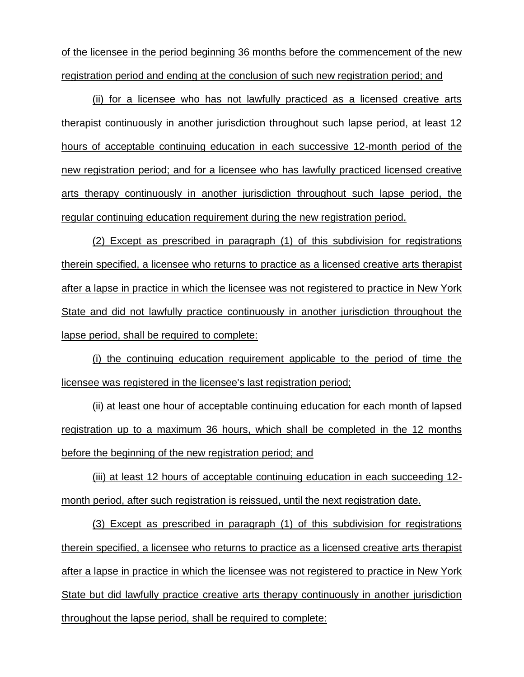of the licensee in the period beginning 36 months before the commencement of the new registration period and ending at the conclusion of such new registration period; and

(ii) for a licensee who has not lawfully practiced as a licensed creative arts therapist continuously in another jurisdiction throughout such lapse period, at least 12 hours of acceptable continuing education in each successive 12-month period of the new registration period; and for a licensee who has lawfully practiced licensed creative arts therapy continuously in another jurisdiction throughout such lapse period, the regular continuing education requirement during the new registration period.

(2) Except as prescribed in paragraph (1) of this subdivision for registrations therein specified, a licensee who returns to practice as a licensed creative arts therapist after a lapse in practice in which the licensee was not registered to practice in New York State and did not lawfully practice continuously in another jurisdiction throughout the lapse period, shall be required to complete:

(i) the continuing education requirement applicable to the period of time the licensee was registered in the licensee's last registration period;

(ii) at least one hour of acceptable continuing education for each month of lapsed registration up to a maximum 36 hours, which shall be completed in the 12 months before the beginning of the new registration period; and

(iii) at least 12 hours of acceptable continuing education in each succeeding 12 month period, after such registration is reissued, until the next registration date.

(3) Except as prescribed in paragraph (1) of this subdivision for registrations therein specified, a licensee who returns to practice as a licensed creative arts therapist after a lapse in practice in which the licensee was not registered to practice in New York State but did lawfully practice creative arts therapy continuously in another jurisdiction throughout the lapse period, shall be required to complete: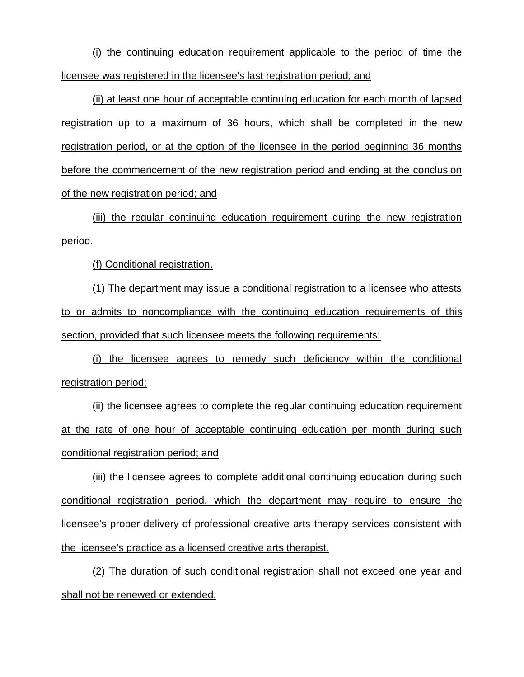(i) the continuing education requirement applicable to the period of time the licensee was registered in the licensee's last registration period; and

(ii) at least one hour of acceptable continuing education for each month of lapsed registration up to a maximum of 36 hours, which shall be completed in the new registration period, or at the option of the licensee in the period beginning 36 months before the commencement of the new registration period and ending at the conclusion of the new registration period; and

(iii) the regular continuing education requirement during the new registration period.

(f) Conditional registration.

(1) The department may issue a conditional registration to a licensee who attests to or admits to noncompliance with the continuing education requirements of this section, provided that such licensee meets the following requirements:

(i) the licensee agrees to remedy such deficiency within the conditional registration period;

(ii) the licensee agrees to complete the regular continuing education requirement at the rate of one hour of acceptable continuing education per month during such conditional registration period; and

(iii) the licensee agrees to complete additional continuing education during such conditional registration period, which the department may require to ensure the licensee's proper delivery of professional creative arts therapy services consistent with the licensee's practice as a licensed creative arts therapist.

(2) The duration of such conditional registration shall not exceed one year and shall not be renewed or extended.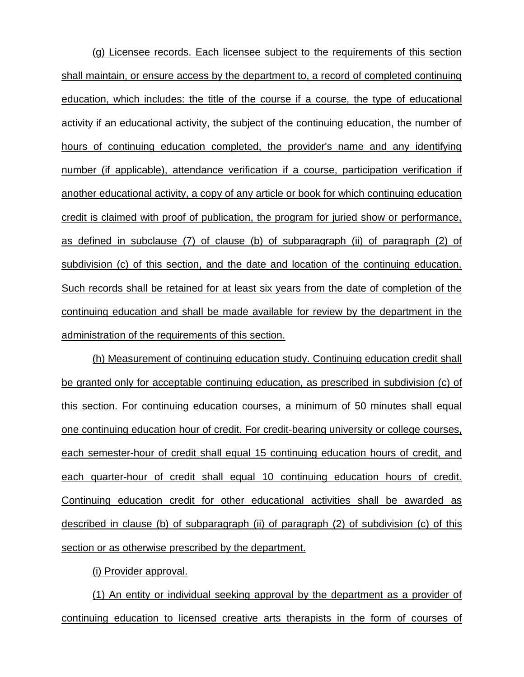(g) Licensee records. Each licensee subject to the requirements of this section shall maintain, or ensure access by the department to, a record of completed continuing education, which includes: the title of the course if a course, the type of educational activity if an educational activity, the subject of the continuing education, the number of hours of continuing education completed, the provider's name and any identifying number (if applicable), attendance verification if a course, participation verification if another educational activity, a copy of any article or book for which continuing education credit is claimed with proof of publication, the program for juried show or performance, as defined in subclause (7) of clause (b) of subparagraph (ii) of paragraph (2) of subdivision (c) of this section, and the date and location of the continuing education. Such records shall be retained for at least six years from the date of completion of the continuing education and shall be made available for review by the department in the administration of the requirements of this section.

(h) Measurement of continuing education study. Continuing education credit shall be granted only for acceptable continuing education, as prescribed in subdivision (c) of this section. For continuing education courses, a minimum of 50 minutes shall equal one continuing education hour of credit. For credit-bearing university or college courses, each semester-hour of credit shall equal 15 continuing education hours of credit, and each quarter-hour of credit shall equal 10 continuing education hours of credit. Continuing education credit for other educational activities shall be awarded as described in clause (b) of subparagraph (ii) of paragraph (2) of subdivision (c) of this section or as otherwise prescribed by the department.

(i) Provider approval.

(1) An entity or individual seeking approval by the department as a provider of continuing education to licensed creative arts therapists in the form of courses of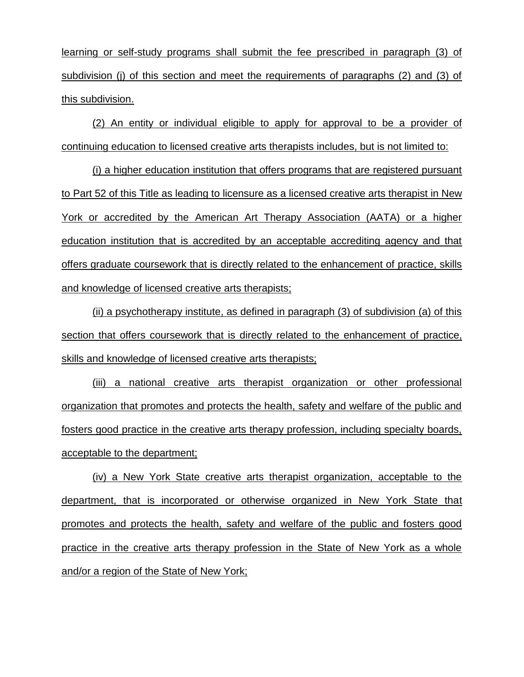learning or self-study programs shall submit the fee prescribed in paragraph (3) of subdivision (j) of this section and meet the requirements of paragraphs (2) and (3) of this subdivision.

(2) An entity or individual eligible to apply for approval to be a provider of continuing education to licensed creative arts therapists includes, but is not limited to:

(i) a higher education institution that offers programs that are registered pursuant to Part 52 of this Title as leading to licensure as a licensed creative arts therapist in New York or accredited by the American Art Therapy Association (AATA) or a higher education institution that is accredited by an acceptable accrediting agency and that offers graduate coursework that is directly related to the enhancement of practice, skills and knowledge of licensed creative arts therapists;

(ii) a psychotherapy institute, as defined in paragraph (3) of subdivision (a) of this section that offers coursework that is directly related to the enhancement of practice, skills and knowledge of licensed creative arts therapists;

(iii) a national creative arts therapist organization or other professional organization that promotes and protects the health, safety and welfare of the public and fosters good practice in the creative arts therapy profession, including specialty boards, acceptable to the department;

(iv) a New York State creative arts therapist organization, acceptable to the department, that is incorporated or otherwise organized in New York State that promotes and protects the health, safety and welfare of the public and fosters good practice in the creative arts therapy profession in the State of New York as a whole and/or a region of the State of New York;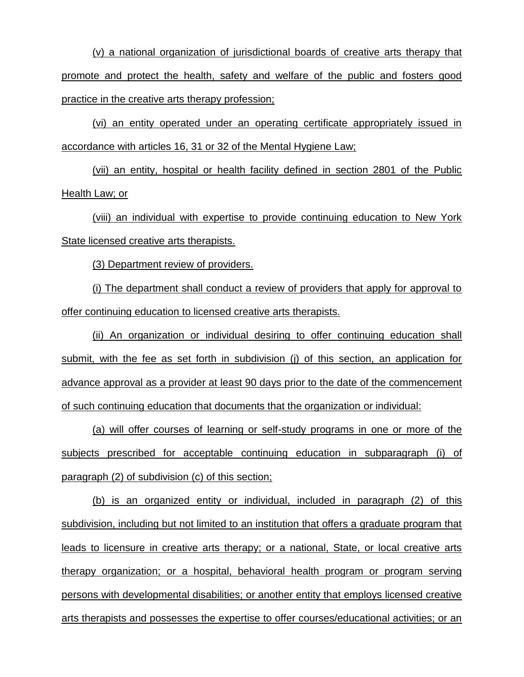(v) a national organization of jurisdictional boards of creative arts therapy that promote and protect the health, safety and welfare of the public and fosters good practice in the creative arts therapy profession;

(vi) an entity operated under an operating certificate appropriately issued in accordance with articles 16, 31 or 32 of the Mental Hygiene Law;

(vii) an entity, hospital or health facility defined in section 2801 of the Public Health Law; or

(viii) an individual with expertise to provide continuing education to New York State licensed creative arts therapists.

(3) Department review of providers.

(i) The department shall conduct a review of providers that apply for approval to offer continuing education to licensed creative arts therapists.

(ii) An organization or individual desiring to offer continuing education shall submit, with the fee as set forth in subdivision (j) of this section, an application for advance approval as a provider at least 90 days prior to the date of the commencement of such continuing education that documents that the organization or individual:

(a) will offer courses of learning or self-study programs in one or more of the subjects prescribed for acceptable continuing education in subparagraph (i) of paragraph (2) of subdivision (c) of this section;

(b) is an organized entity or individual, included in paragraph (2) of this subdivision, including but not limited to an institution that offers a graduate program that leads to licensure in creative arts therapy; or a national, State, or local creative arts therapy organization; or a hospital, behavioral health program or program serving persons with developmental disabilities; or another entity that employs licensed creative arts therapists and possesses the expertise to offer courses/educational activities; or an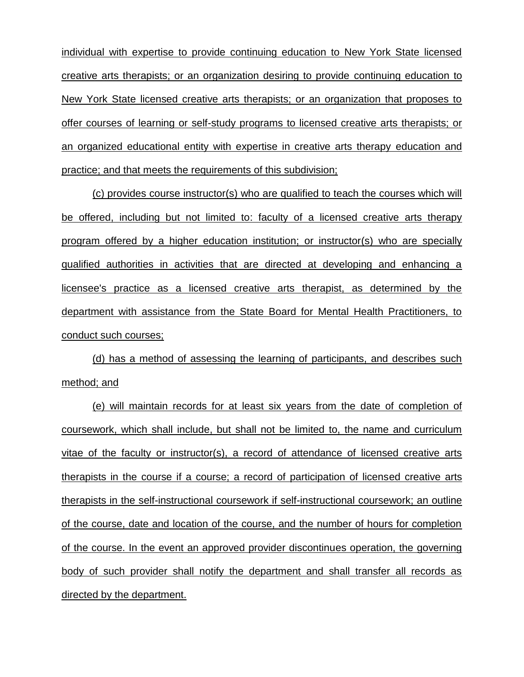individual with expertise to provide continuing education to New York State licensed creative arts therapists; or an organization desiring to provide continuing education to New York State licensed creative arts therapists; or an organization that proposes to offer courses of learning or self-study programs to licensed creative arts therapists; or an organized educational entity with expertise in creative arts therapy education and practice; and that meets the requirements of this subdivision;

(c) provides course instructor(s) who are qualified to teach the courses which will be offered, including but not limited to: faculty of a licensed creative arts therapy program offered by a higher education institution; or instructor(s) who are specially qualified authorities in activities that are directed at developing and enhancing a licensee's practice as a licensed creative arts therapist, as determined by the department with assistance from the State Board for Mental Health Practitioners, to conduct such courses;

(d) has a method of assessing the learning of participants, and describes such method; and

(e) will maintain records for at least six years from the date of completion of coursework, which shall include, but shall not be limited to, the name and curriculum vitae of the faculty or instructor(s), a record of attendance of licensed creative arts therapists in the course if a course; a record of participation of licensed creative arts therapists in the self-instructional coursework if self-instructional coursework; an outline of the course, date and location of the course, and the number of hours for completion of the course. In the event an approved provider discontinues operation, the governing body of such provider shall notify the department and shall transfer all records as directed by the department.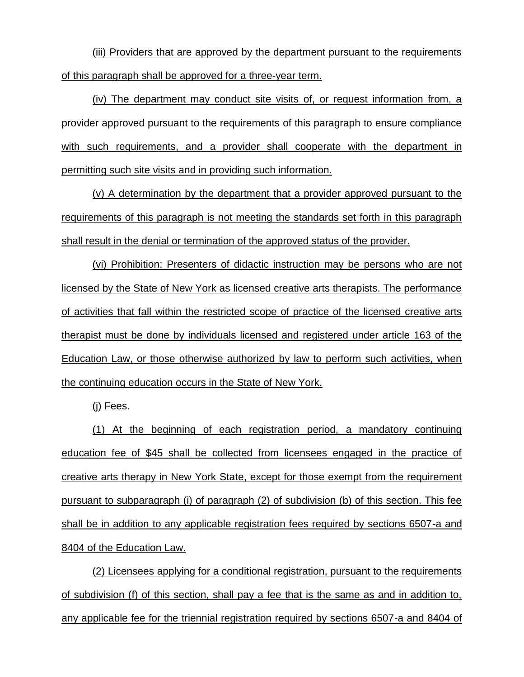(iii) Providers that are approved by the department pursuant to the requirements of this paragraph shall be approved for a three-year term.

(iv) The department may conduct site visits of, or request information from, a provider approved pursuant to the requirements of this paragraph to ensure compliance with such requirements, and a provider shall cooperate with the department in permitting such site visits and in providing such information.

(v) A determination by the department that a provider approved pursuant to the requirements of this paragraph is not meeting the standards set forth in this paragraph shall result in the denial or termination of the approved status of the provider.

(vi) Prohibition: Presenters of didactic instruction may be persons who are not licensed by the State of New York as licensed creative arts therapists. The performance of activities that fall within the restricted scope of practice of the licensed creative arts therapist must be done by individuals licensed and registered under article 163 of the Education Law, or those otherwise authorized by law to perform such activities, when the continuing education occurs in the State of New York.

(j) Fees.

(1) At the beginning of each registration period, a mandatory continuing education fee of \$45 shall be collected from licensees engaged in the practice of creative arts therapy in New York State, except for those exempt from the requirement pursuant to subparagraph (i) of paragraph (2) of subdivision (b) of this section. This fee shall be in addition to any applicable registration fees required by sections 6507-a and 8404 of the Education Law.

(2) Licensees applying for a conditional registration, pursuant to the requirements of subdivision (f) of this section, shall pay a fee that is the same as and in addition to, any applicable fee for the triennial registration required by sections 6507-a and 8404 of